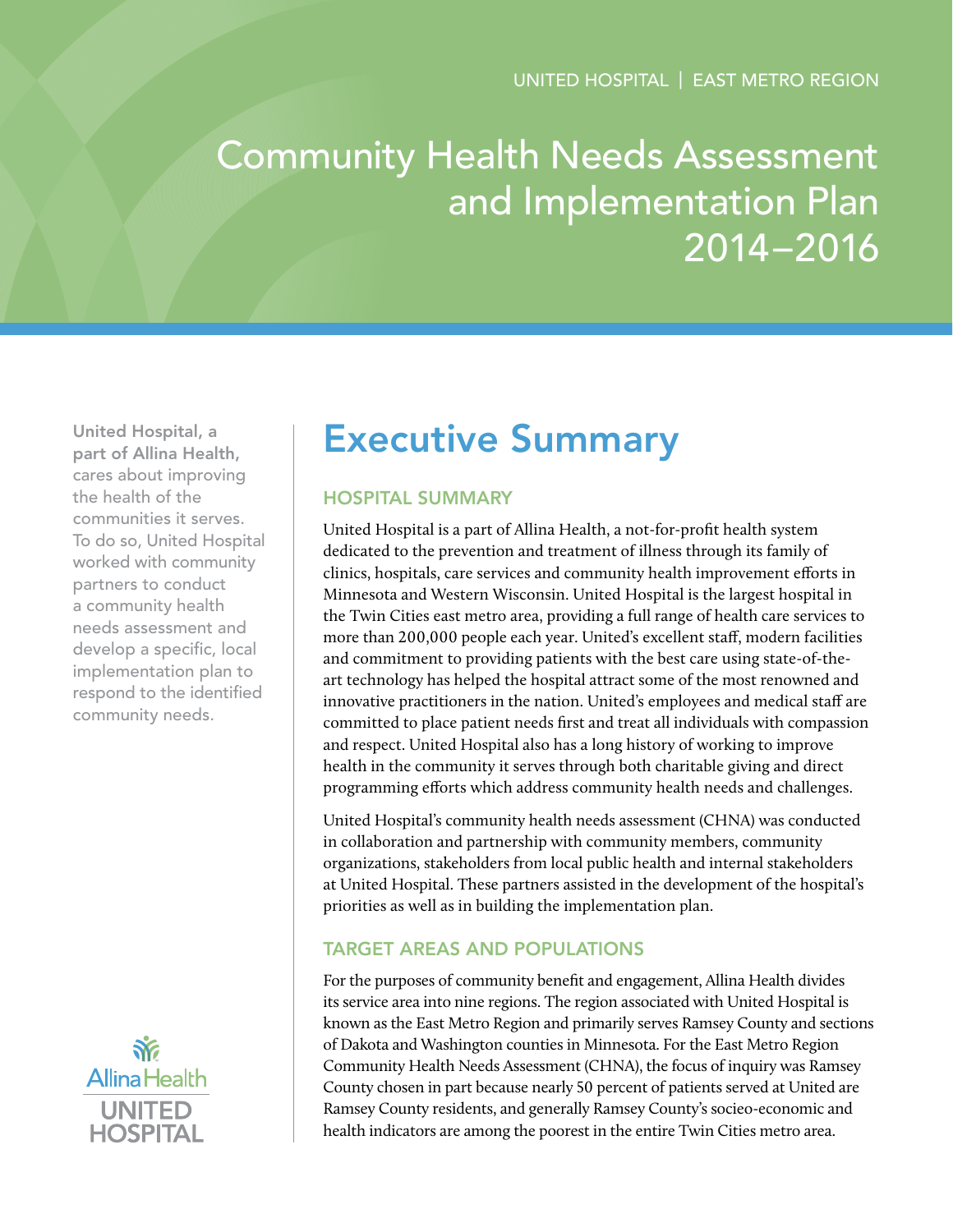# Community Health Needs Assessment and Implementation Plan 2014–2016

United Hospital, a part of Allina Health, cares about improving the health of the communities it serves. To do so, United Hospital worked with community partners to conduct a community health needs assessment and develop a specific, local implementation plan to respond to the identified community needs.



## Executive Summary

## Hospital Summary

United Hospital is a part of Allina Health, a not-for-profit health system dedicated to the prevention and treatment of illness through its family of clinics, hospitals, care services and community health improvement efforts in Minnesota and Western Wisconsin. United Hospital is the largest hospital in the Twin Cities east metro area, providing a full range of health care services to more than 200,000 people each year. United's excellent staff, modern facilities and commitment to providing patients with the best care using state-of-theart technology has helped the hospital attract some of the most renowned and innovative practitioners in the nation. United's employees and medical staff are committed to place patient needs first and treat all individuals with compassion and respect. United Hospital also has a long history of working to improve health in the community it serves through both charitable giving and direct programming efforts which address community health needs and challenges.

United Hospital's community health needs assessment (CHNA) was conducted in collaboration and partnership with community members, community organizations, stakeholders from local public health and internal stakeholders at United Hospital. These partners assisted in the development of the hospital's priorities as well as in building the implementation plan.

## Target Areas and Populations

For the purposes of community benefit and engagement, Allina Health divides its service area into nine regions. The region associated with United Hospital is known as the East Metro Region and primarily serves Ramsey County and sections of Dakota and Washington counties in Minnesota. For the East Metro Region Community Health Needs Assessment (CHNA), the focus of inquiry was Ramsey County chosen in part because nearly 50 percent of patients served at United are Ramsey County residents, and generally Ramsey County's socieo-economic and health indicators are among the poorest in the entire Twin Cities metro area.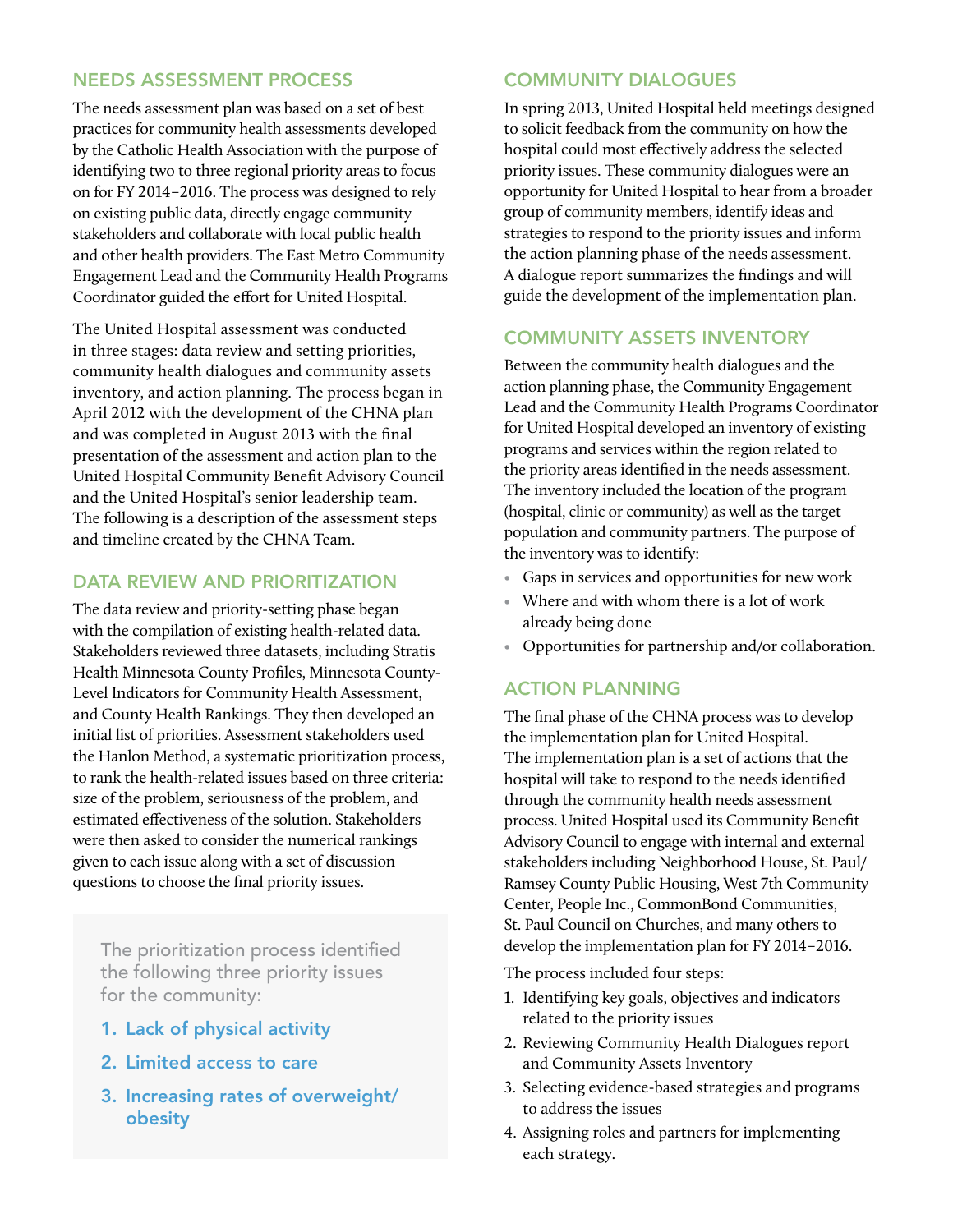#### Needs Assessment Process

The needs assessment plan was based on a set of best practices for community health assessments developed by the Catholic Health Association with the purpose of identifying two to three regional priority areas to focus on for FY 2014–2016. The process was designed to rely on existing public data, directly engage community stakeholders and collaborate with local public health and other health providers. The East Metro Community Engagement Lead and the Community Health Programs Coordinator guided the effort for United Hospital.

The United Hospital assessment was conducted in three stages: data review and setting priorities, community health dialogues and community assets inventory, and action planning. The process began in April 2012 with the development of the CHNA plan and was completed in August 2013 with the final presentation of the assessment and action plan to the United Hospital Community Benefit Advisory Council and the United Hospital's senior leadership team. The following is a description of the assessment steps and timeline created by the CHNA Team.

## DATA REVIEW AND PRIORITIZATION

The data review and priority-setting phase began with the compilation of existing health-related data. Stakeholders reviewed three datasets, including Stratis Health Minnesota County Profiles, Minnesota County-Level Indicators for Community Health Assessment, and County Health Rankings. They then developed an initial list of priorities. Assessment stakeholders used the Hanlon Method, a systematic prioritization process, to rank the health-related issues based on three criteria: size of the problem, seriousness of the problem, and estimated effectiveness of the solution. Stakeholders were then asked to consider the numerical rankings given to each issue along with a set of discussion questions to choose the final priority issues.

The prioritization process identified the following three priority issues for the community:

- 1. Lack of physical activity
- 2. Limited access to care
- 3. Increasing rates of overweight/ obesity

## Community Dialogues

In spring 2013, United Hospital held meetings designed to solicit feedback from the community on how the hospital could most effectively address the selected priority issues. These community dialogues were an opportunity for United Hospital to hear from a broader group of community members, identify ideas and strategies to respond to the priority issues and inform the action planning phase of the needs assessment. A dialogue report summarizes the findings and will guide the development of the implementation plan.

## Community Assets Inventory

Between the community health dialogues and the action planning phase, the Community Engagement Lead and the Community Health Programs Coordinator for United Hospital developed an inventory of existing programs and services within the region related to the priority areas identified in the needs assessment. The inventory included the location of the program (hospital, clinic or community) as well as the target population and community partners. The purpose of the inventory was to identify:

- Gaps in services and opportunities for new work
- Where and with whom there is a lot of work already being done
- Opportunities for partnership and/or collaboration.

## Action Planning

The final phase of the CHNA process was to develop the implementation plan for United Hospital. The implementation plan is a set of actions that the hospital will take to respond to the needs identified through the community health needs assessment process. United Hospital used its Community Benefit Advisory Council to engage with internal and external stakeholders including Neighborhood House, St. Paul/ Ramsey County Public Housing, West 7th Community Center, People Inc., CommonBond Communities, St. Paul Council on Churches, and many others to develop the implementation plan for FY 2014–2016.

The process included four steps:

- 1. Identifying key goals, objectives and indicators related to the priority issues
- 2. Reviewing Community Health Dialogues report and Community Assets Inventory
- 3. Selecting evidence-based strategies and programs to address the issues
- 4. Assigning roles and partners for implementing each strategy.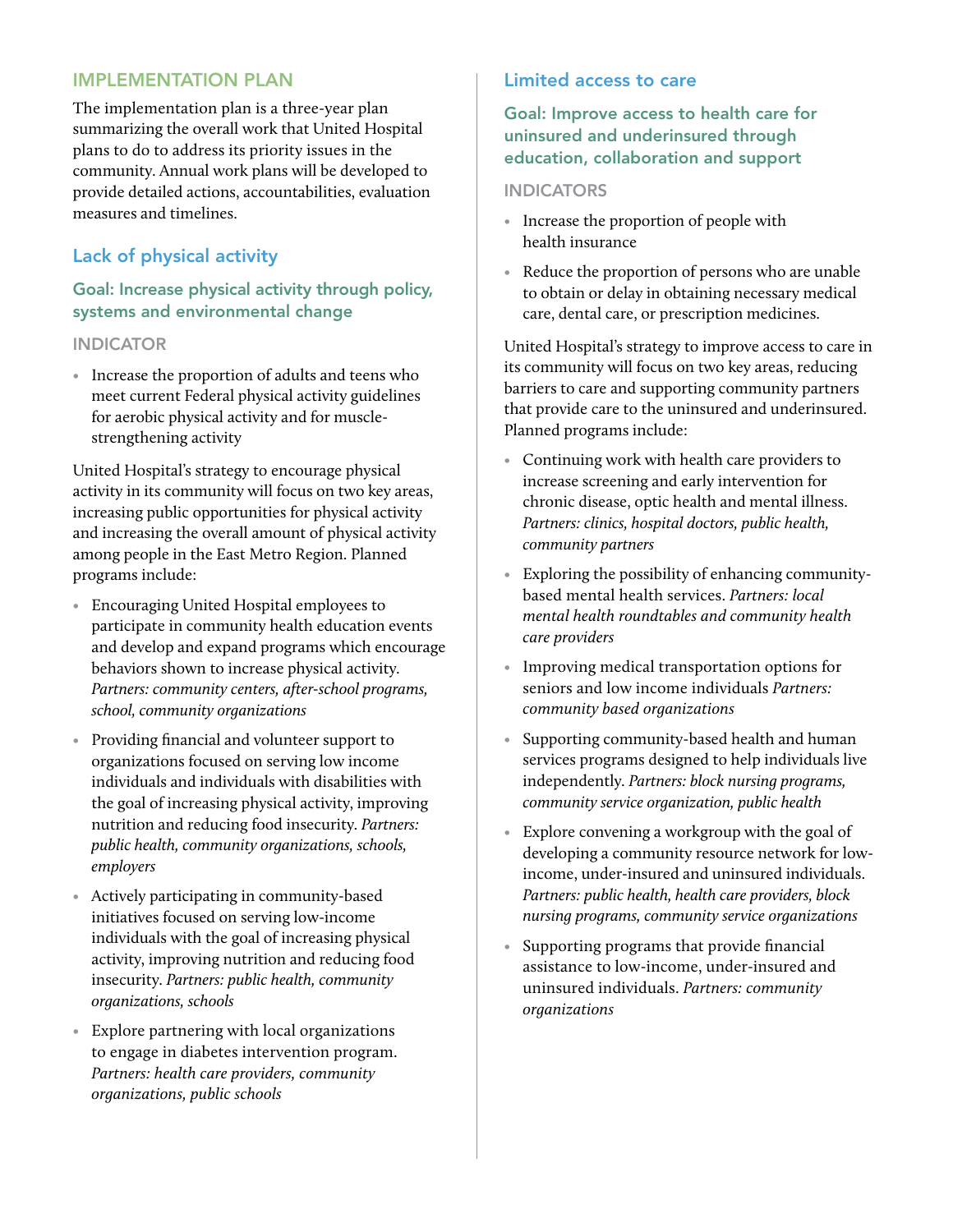## Implementation Plan

The implementation plan is a three-year plan summarizing the overall work that United Hospital plans to do to address its priority issues in the community. Annual work plans will be developed to provide detailed actions, accountabilities, evaluation measures and timelines.

## Lack of physical activity

## Goal: Increase physical activity through policy, systems and environmental change

#### **INDICATOR**

• Increase the proportion of adults and teens who meet current Federal physical activity guidelines for aerobic physical activity and for musclestrengthening activity

United Hospital's strategy to encourage physical activity in its community will focus on two key areas, increasing public opportunities for physical activity and increasing the overall amount of physical activity among people in the East Metro Region. Planned programs include:

- Encouraging United Hospital employees to participate in community health education events and develop and expand programs which encourage behaviors shown to increase physical activity. *Partners: community centers, after-school programs, school, community organizations*
- Providing financial and volunteer support to organizations focused on serving low income individuals and individuals with disabilities with the goal of increasing physical activity, improving nutrition and reducing food insecurity. *Partners: public health, community organizations, schools, employers*
- Actively participating in community-based initiatives focused on serving low-income individuals with the goal of increasing physical activity, improving nutrition and reducing food insecurity. *Partners: public health, community organizations, schools*
- Explore partnering with local organizations to engage in diabetes intervention program. *Partners: health care providers, community organizations, public schools*

## Limited access to care

Goal: Improve access to health care for uninsured and underinsured through education, collaboration and support

#### **INDICATORS**

- Increase the proportion of people with health insurance
- Reduce the proportion of persons who are unable to obtain or delay in obtaining necessary medical care, dental care, or prescription medicines.

United Hospital's strategy to improve access to care in its community will focus on two key areas, reducing barriers to care and supporting community partners that provide care to the uninsured and underinsured. Planned programs include:

- Continuing work with health care providers to increase screening and early intervention for chronic disease, optic health and mental illness. *Partners: clinics, hospital doctors, public health, community partners*
- Exploring the possibility of enhancing communitybased mental health services. *Partners: local mental health roundtables and community health care providers*
- Improving medical transportation options for seniors and low income individuals *Partners: community based organizations*
- Supporting community-based health and human services programs designed to help individuals live independently. *Partners: block nursing programs, community service organization, public health*
- Explore convening a workgroup with the goal of developing a community resource network for lowincome, under-insured and uninsured individuals. *Partners: public health, health care providers, block nursing programs, community service organizations*
- Supporting programs that provide financial assistance to low-income, under-insured and uninsured individuals. *Partners: community organizations*